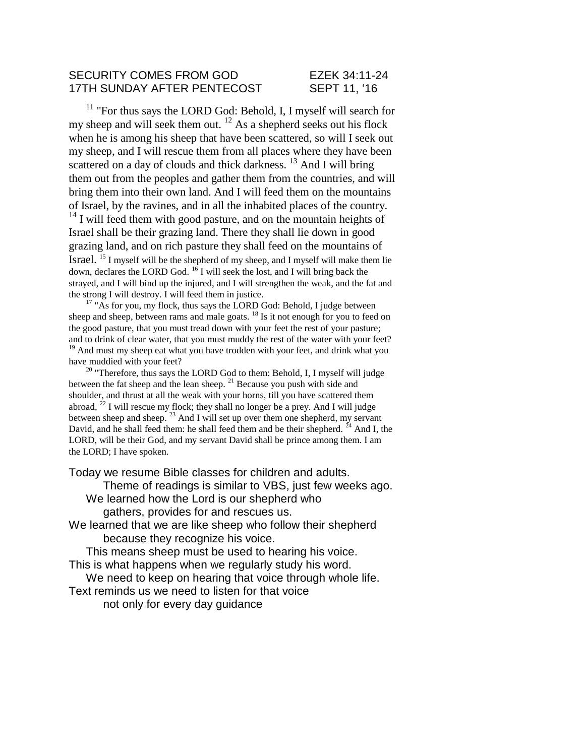## SECURITY COMES FROM GOD
EZEK 34:11-24 17TH SUNDAY AFTER PENTECOST SEPT 11, '16

<sup>11</sup> "For thus says the LORD God: Behold, I, I myself will search for my sheep and will seek them out.  $^{12}$  As a shepherd seeks out his flock when he is among his sheep that have been scattered, so will I seek out my sheep, and I will rescue them from all places where they have been scattered on a day of clouds and thick darkness.<sup>13</sup> And I will bring them out from the peoples and gather them from the countries, and will bring them into their own land. And I will feed them on the mountains of Israel, by the ravines, and in all the inhabited places of the country.  $14$  I will feed them with good pasture, and on the mountain heights of Israel shall be their grazing land. There they shall lie down in good grazing land, and on rich pasture they shall feed on the mountains of Israel. <sup>15</sup> I myself will be the shepherd of my sheep, and I myself will make them lie down, declares the LORD God.  $16$  I will seek the lost, and I will bring back the strayed, and I will bind up the injured, and I will strengthen the weak, and the fat and the strong I will destroy. I will feed them in justice.

<sup>17</sup> "As for you, my flock, thus says the LORD God: Behold, I judge between sheep and sheep, between rams and male goats. <sup>18</sup> Is it not enough for you to feed on the good pasture, that you must tread down with your feet the rest of your pasture; and to drink of clear water, that you must muddy the rest of the water with your feet? <sup>19</sup> And must my sheep eat what you have trodden with your feet, and drink what you have muddied with your feet?

 $20$  "Therefore, thus says the LORD God to them: Behold, I, I myself will judge between the fat sheep and the lean sheep. <sup>21</sup> Because you push with side and shoulder, and thrust at all the weak with your horns, till you have scattered them abroad,  $^{22}$  I will rescue my flock; they shall no longer be a prey. And I will judge between sheep and sheep. <sup>23</sup> And I will set up over them one shepherd, my servant David, and he shall feed them: he shall feed them and be their shepherd.  $24$  And I, the LORD, will be their God, and my servant David shall be prince among them. I am the LORD; I have spoken.

Today we resume Bible classes for children and adults.

Theme of readings is similar to VBS, just few weeks ago. We learned how the Lord is our shepherd who

gathers, provides for and rescues us.

We learned that we are like sheep who follow their shepherd because they recognize his voice.

This means sheep must be used to hearing his voice. This is what happens when we regularly study his word.

We need to keep on hearing that voice through whole life.

Text reminds us we need to listen for that voice

not only for every day guidance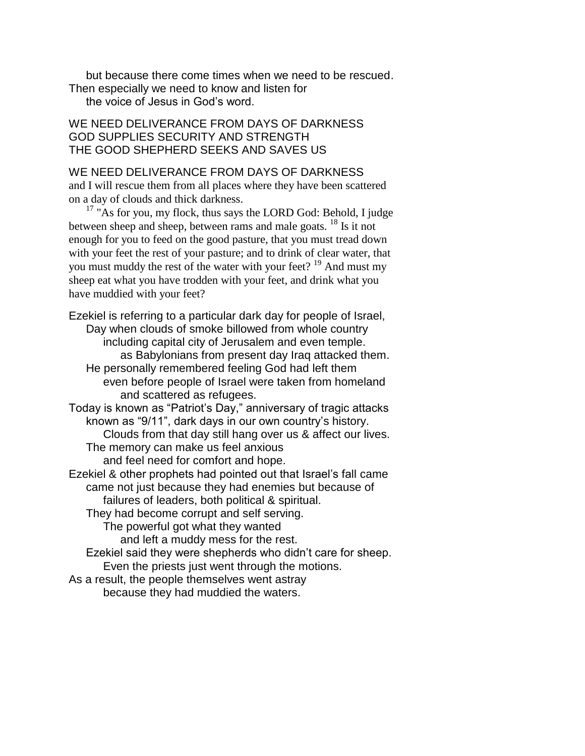but because there come times when we need to be rescued. Then especially we need to know and listen for the voice of Jesus in God's word.

## WE NEED DELIVERANCE FROM DAYS OF DARKNESS GOD SUPPLIES SECURITY AND STRENGTH THE GOOD SHEPHERD SEEKS AND SAVES US

### WE NEED DELIVERANCE FROM DAYS OF DARKNESS

and I will rescue them from all places where they have been scattered on a day of clouds and thick darkness.

 $17$  "As for you, my flock, thus says the LORD God: Behold, I judge between sheep and sheep, between rams and male goats. <sup>18</sup> Is it not enough for you to feed on the good pasture, that you must tread down with your feet the rest of your pasture; and to drink of clear water, that you must muddy the rest of the water with your feet? <sup>19</sup> And must my sheep eat what you have trodden with your feet, and drink what you have muddied with your feet?

Ezekiel is referring to a particular dark day for people of Israel, Day when clouds of smoke billowed from whole country including capital city of Jerusalem and even temple. as Babylonians from present day Iraq attacked them. He personally remembered feeling God had left them even before people of Israel were taken from homeland and scattered as refugees. Today is known as "Patriot's Day," anniversary of tragic attacks known as "9/11", dark days in our own country's history. Clouds from that day still hang over us & affect our lives. The memory can make us feel anxious and feel need for comfort and hope. Ezekiel & other prophets had pointed out that Israel's fall came came not just because they had enemies but because of failures of leaders, both political & spiritual. They had become corrupt and self serving. The powerful got what they wanted and left a muddy mess for the rest. Ezekiel said they were shepherds who didn't care for sheep. Even the priests just went through the motions.

As a result, the people themselves went astray because they had muddied the waters.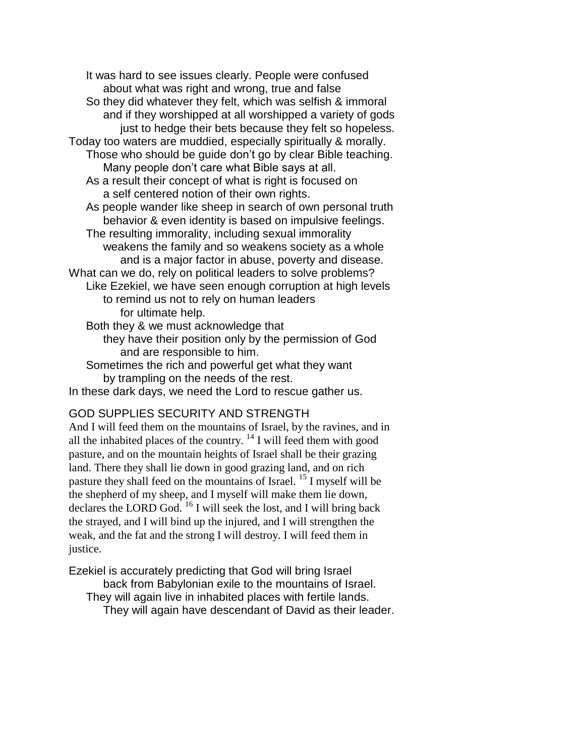It was hard to see issues clearly. People were confused about what was right and wrong, true and false So they did whatever they felt, which was selfish & immoral and if they worshipped at all worshipped a variety of gods just to hedge their bets because they felt so hopeless. Today too waters are muddied, especially spiritually & morally. Those who should be guide don't go by clear Bible teaching. Many people don't care what Bible says at all. As a result their concept of what is right is focused on a self centered notion of their own rights. As people wander like sheep in search of own personal truth behavior & even identity is based on impulsive feelings. The resulting immorality, including sexual immorality weakens the family and so weakens society as a whole and is a major factor in abuse, poverty and disease. What can we do, rely on political leaders to solve problems? Like Ezekiel, we have seen enough corruption at high levels to remind us not to rely on human leaders for ultimate help. Both they & we must acknowledge that they have their position only by the permission of God and are responsible to him. Sometimes the rich and powerful get what they want

by trampling on the needs of the rest.

In these dark days, we need the Lord to rescue gather us.

# GOD SUPPLIES SECURITY AND STRENGTH

And I will feed them on the mountains of Israel, by the ravines, and in all the inhabited places of the country.  $14$  I will feed them with good pasture, and on the mountain heights of Israel shall be their grazing land. There they shall lie down in good grazing land, and on rich pasture they shall feed on the mountains of Israel. <sup>15</sup> I myself will be the shepherd of my sheep, and I myself will make them lie down, declares the LORD God.  $^{16}$  I will seek the lost, and I will bring back the strayed, and I will bind up the injured, and I will strengthen the weak, and the fat and the strong I will destroy. I will feed them in justice.

Ezekiel is accurately predicting that God will bring Israel back from Babylonian exile to the mountains of Israel. They will again live in inhabited places with fertile lands. They will again have descendant of David as their leader.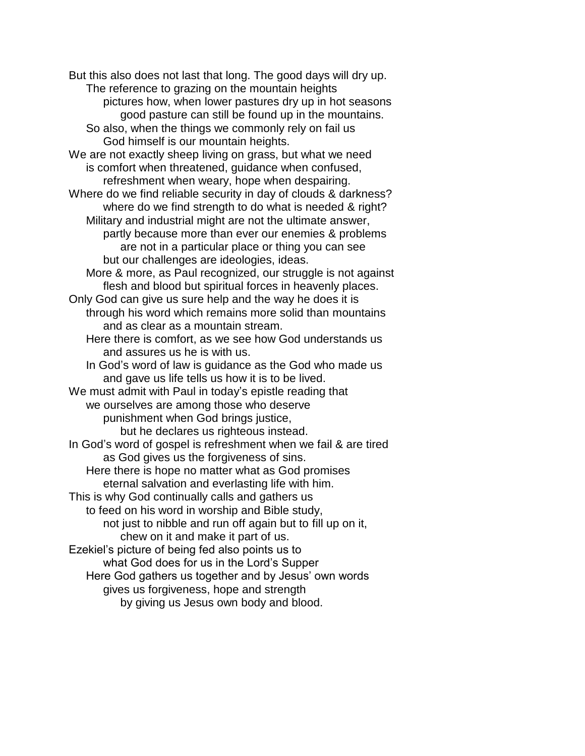But this also does not last that long. The good days will dry up. The reference to grazing on the mountain heights pictures how, when lower pastures dry up in hot seasons good pasture can still be found up in the mountains. So also, when the things we commonly rely on fail us God himself is our mountain heights. We are not exactly sheep living on grass, but what we need is comfort when threatened, guidance when confused, refreshment when weary, hope when despairing. Where do we find reliable security in day of clouds & darkness? where do we find strength to do what is needed & right? Military and industrial might are not the ultimate answer, partly because more than ever our enemies & problems are not in a particular place or thing you can see but our challenges are ideologies, ideas. More & more, as Paul recognized, our struggle is not against flesh and blood but spiritual forces in heavenly places. Only God can give us sure help and the way he does it is through his word which remains more solid than mountains and as clear as a mountain stream. Here there is comfort, as we see how God understands us and assures us he is with us. In God's word of law is guidance as the God who made us and gave us life tells us how it is to be lived. We must admit with Paul in today's epistle reading that we ourselves are among those who deserve punishment when God brings justice, but he declares us righteous instead. In God's word of gospel is refreshment when we fail & are tired as God gives us the forgiveness of sins. Here there is hope no matter what as God promises eternal salvation and everlasting life with him. This is why God continually calls and gathers us to feed on his word in worship and Bible study, not just to nibble and run off again but to fill up on it, chew on it and make it part of us. Ezekiel's picture of being fed also points us to what God does for us in the Lord's Supper Here God gathers us together and by Jesus' own words gives us forgiveness, hope and strength by giving us Jesus own body and blood.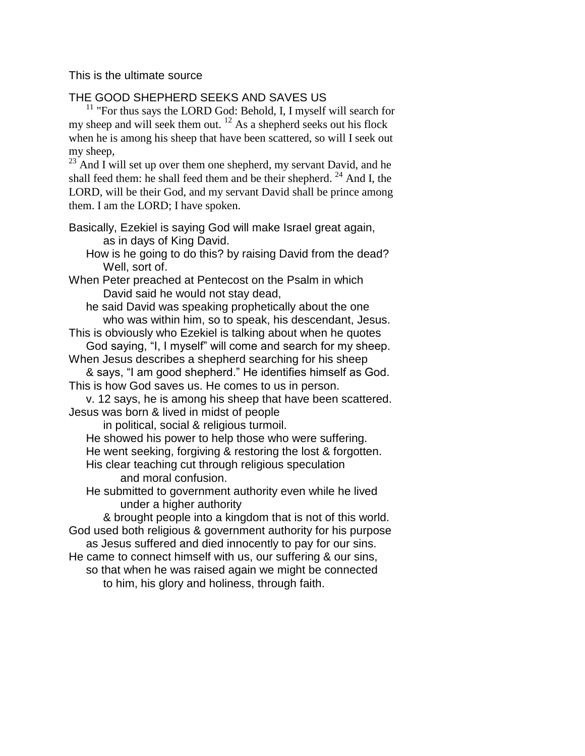This is the ultimate source

# THE GOOD SHEPHERD SEEKS AND SAVES US

 $11$  "For thus says the LORD God: Behold, I, I myself will search for my sheep and will seek them out.  $^{12}$  As a shepherd seeks out his flock when he is among his sheep that have been scattered, so will I seek out my sheep,

 $^{23}$  And I will set up over them one shepherd, my servant David, and he shall feed them: he shall feed them and be their shepherd.  $^{24}$  And I, the LORD, will be their God, and my servant David shall be prince among them. I am the LORD; I have spoken.

Basically, Ezekiel is saying God will make Israel great again, as in days of King David.

How is he going to do this? by raising David from the dead? Well, sort of.

When Peter preached at Pentecost on the Psalm in which David said he would not stay dead,

he said David was speaking prophetically about the one who was within him, so to speak, his descendant, Jesus.

This is obviously who Ezekiel is talking about when he quotes God saying, "I, I myself" will come and search for my sheep.

When Jesus describes a shepherd searching for his sheep

& says, "I am good shepherd." He identifies himself as God. This is how God saves us. He comes to us in person.

v. 12 says, he is among his sheep that have been scattered. Jesus was born & lived in midst of people

in political, social & religious turmoil.

He showed his power to help those who were suffering. He went seeking, forgiving & restoring the lost & forgotten. His clear teaching cut through religious speculation and moral confusion.

He submitted to government authority even while he lived under a higher authority

& brought people into a kingdom that is not of this world. God used both religious & government authority for his purpose as Jesus suffered and died innocently to pay for our sins.

He came to connect himself with us, our suffering & our sins, so that when he was raised again we might be connected to him, his glory and holiness, through faith.